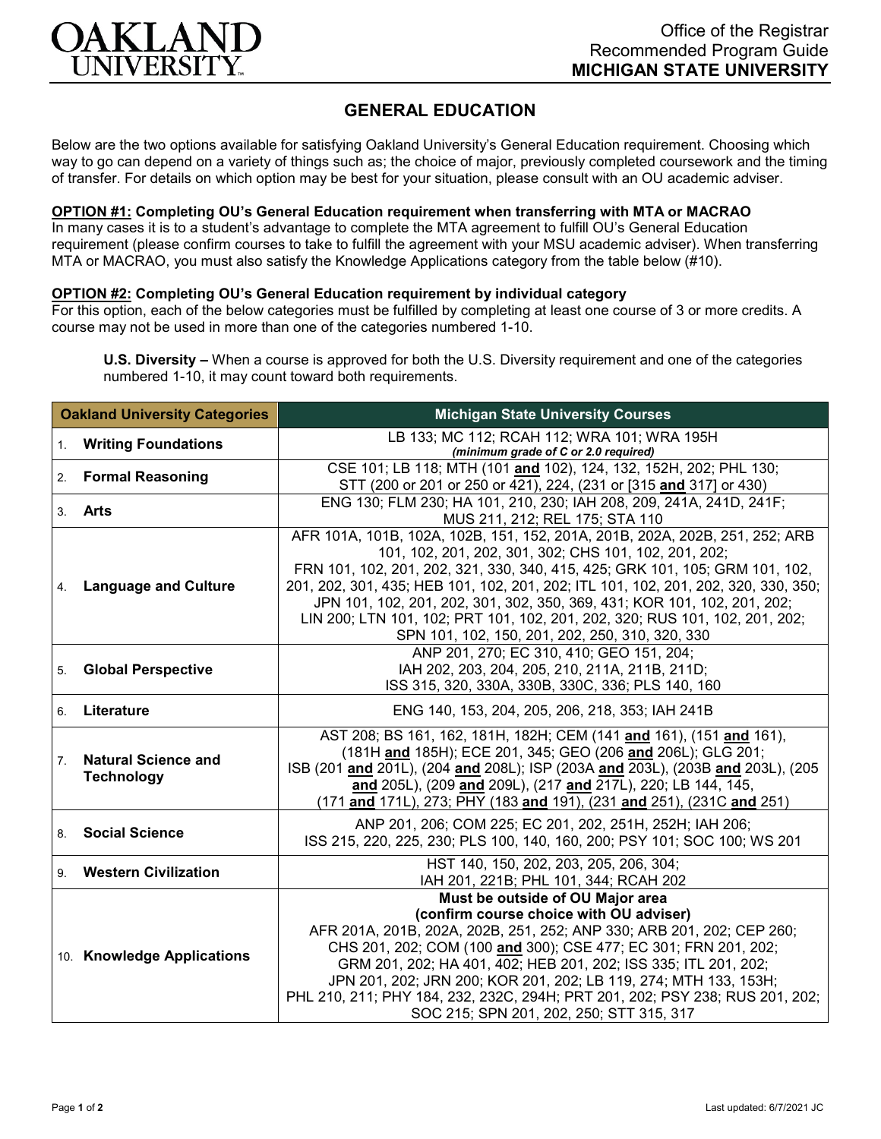

## **GENERAL EDUCATION**

Below are the two options available for satisfying Oakland University's General Education requirement. Choosing which way to go can depend on a variety of things such as; the choice of major, previously completed coursework and the timing of transfer. For details on which option may be best for your situation, please consult with an OU academic adviser.

## **OPTION #1: Completing OU's General Education requirement when transferring with MTA or MACRAO**

In many cases it is to a student's advantage to complete the MTA agreement to fulfill OU's General Education requirement (please confirm courses to take to fulfill the agreement with your MSU academic adviser). When transferring MTA or MACRAO, you must also satisfy the Knowledge Applications category from the table below (#10).

## **OPTION #2: Completing OU's General Education requirement by individual category**

For this option, each of the below categories must be fulfilled by completing at least one course of 3 or more credits. A course may not be used in more than one of the categories numbered 1-10.

**U.S. Diversity –** When a course is approved for both the U.S. Diversity requirement and one of the categories numbered 1-10, it may count toward both requirements.

| <b>Oakland University Categories</b> |                                                 | <b>Michigan State University Courses</b>                                                                                                                                                                                                                                                                                                                                                                                                                                                                                 |
|--------------------------------------|-------------------------------------------------|--------------------------------------------------------------------------------------------------------------------------------------------------------------------------------------------------------------------------------------------------------------------------------------------------------------------------------------------------------------------------------------------------------------------------------------------------------------------------------------------------------------------------|
| 1.                                   | <b>Writing Foundations</b>                      | LB 133; MC 112; RCAH 112; WRA 101; WRA 195H<br>(minimum grade of C or 2.0 required)                                                                                                                                                                                                                                                                                                                                                                                                                                      |
| 2.                                   | <b>Formal Reasoning</b>                         | CSE 101; LB 118; MTH (101 and 102), 124, 132, 152H, 202; PHL 130;<br>STT (200 or 201 or 250 or 421), 224, (231 or [315 and 317] or 430)                                                                                                                                                                                                                                                                                                                                                                                  |
|                                      | 3. Arts                                         | ENG 130; FLM 230; HA 101, 210, 230; IAH 208, 209, 241A, 241D, 241F;<br>MUS 211, 212; REL 175; STA 110                                                                                                                                                                                                                                                                                                                                                                                                                    |
| 4.                                   | <b>Language and Culture</b>                     | AFR 101A, 101B, 102A, 102B, 151, 152, 201A, 201B, 202A, 202B, 251, 252; ARB<br>101, 102, 201, 202, 301, 302; CHS 101, 102, 201, 202;<br>FRN 101, 102, 201, 202, 321, 330, 340, 415, 425; GRK 101, 105; GRM 101, 102,<br>201, 202, 301, 435; HEB 101, 102, 201, 202; ITL 101, 102, 201, 202, 320, 330, 350;<br>JPN 101, 102, 201, 202, 301, 302, 350, 369, 431; KOR 101, 102, 201, 202;<br>LIN 200; LTN 101, 102; PRT 101, 102, 201, 202, 320; RUS 101, 102, 201, 202;<br>SPN 101, 102, 150, 201, 202, 250, 310, 320, 330 |
| 5.                                   | <b>Global Perspective</b>                       | ANP 201, 270; EC 310, 410; GEO 151, 204;<br>IAH 202, 203, 204, 205, 210, 211A, 211B, 211D;<br>ISS 315, 320, 330A, 330B, 330C, 336; PLS 140, 160                                                                                                                                                                                                                                                                                                                                                                          |
| 6.                                   | Literature                                      | ENG 140, 153, 204, 205, 206, 218, 353; IAH 241B                                                                                                                                                                                                                                                                                                                                                                                                                                                                          |
| 7 <sub>1</sub>                       | <b>Natural Science and</b><br><b>Technology</b> | AST 208; BS 161, 162, 181H, 182H; CEM (141 and 161), (151 and 161),<br>(181H and 185H); ECE 201, 345; GEO (206 and 206L); GLG 201;<br>ISB (201 and 201L), (204 and 208L); ISP (203A and 203L), (203B and 203L), (205<br>and 205L), (209 and 209L), (217 and 217L), 220; LB 144, 145,<br>(171 and 171L), 273; PHY (183 and 191), (231 and 251), (231C and 251)                                                                                                                                                            |
| 8.                                   | <b>Social Science</b>                           | ANP 201, 206; COM 225; EC 201, 202, 251H, 252H; IAH 206;<br>ISS 215, 220, 225, 230; PLS 100, 140, 160, 200; PSY 101; SOC 100; WS 201                                                                                                                                                                                                                                                                                                                                                                                     |
| 9.                                   | <b>Western Civilization</b>                     | HST 140, 150, 202, 203, 205, 206, 304;<br>IAH 201, 221B; PHL 101, 344; RCAH 202                                                                                                                                                                                                                                                                                                                                                                                                                                          |
|                                      | 10. Knowledge Applications                      | Must be outside of OU Major area<br>(confirm course choice with OU adviser)<br>AFR 201A, 201B, 202A, 202B, 251, 252; ANP 330; ARB 201, 202; CEP 260;<br>CHS 201, 202; COM (100 and 300); CSE 477; EC 301; FRN 201, 202;<br>GRM 201, 202; HA 401, 402; HEB 201, 202; ISS 335; ITL 201, 202;<br>JPN 201, 202; JRN 200; KOR 201, 202; LB 119, 274; MTH 133, 153H;<br>PHL 210, 211; PHY 184, 232, 232C, 294H; PRT 201, 202; PSY 238; RUS 201, 202;<br>SOC 215; SPN 201, 202, 250; STT 315, 317                               |